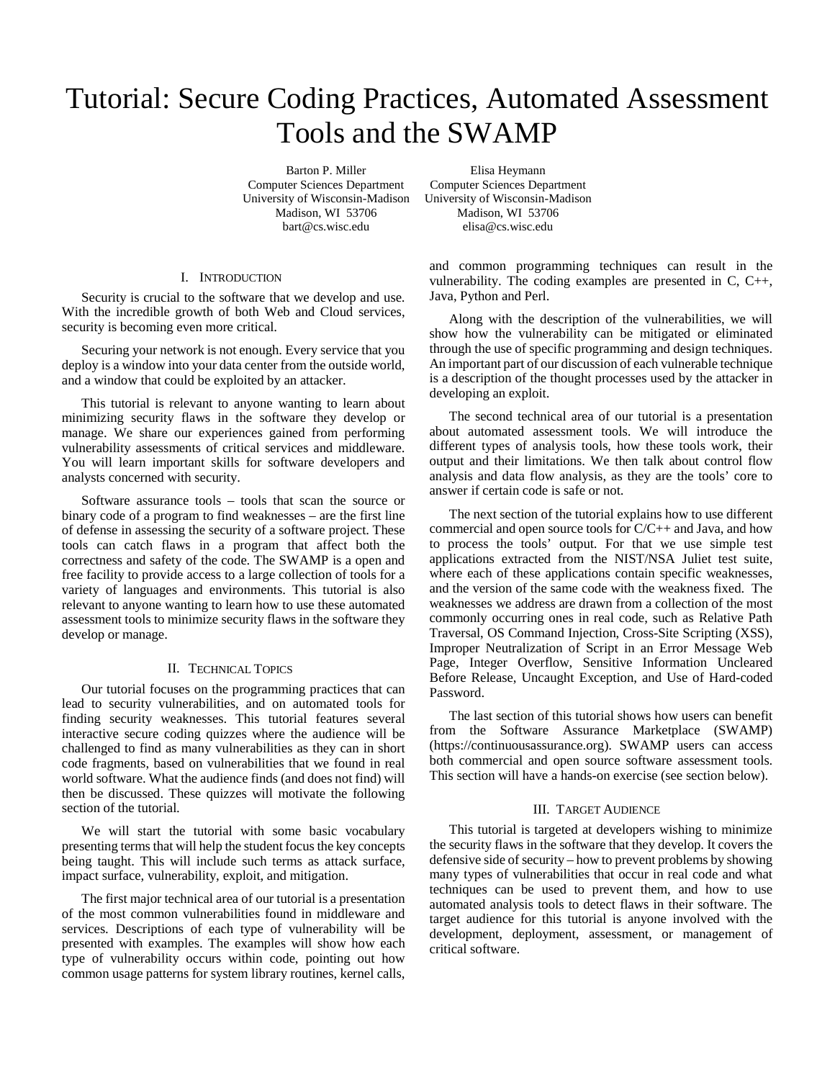# Tutorial: Secure Coding Practices, Automated Assessment Tools and the SWAMP

Barton P. Miller Computer Sciences Department University of Wisconsin-Madison Madison, WI 53706 bart@cs.wisc.edu

#### I. INTRODUCTION

Security is crucial to the software that we develop and use. With the incredible growth of both Web and Cloud services, security is becoming even more critical.

Securing your network is not enough. Every service that you deploy is a window into your data center from the outside world, and a window that could be exploited by an attacker.

This tutorial is relevant to anyone wanting to learn about minimizing security flaws in the software they develop or manage. We share our experiences gained from performing vulnerability assessments of critical services and middleware. You will learn important skills for software developers and analysts concerned with security.

Software assurance tools – tools that scan the source or binary code of a program to find weaknesses – are the first line of defense in assessing the security of a software project. These tools can catch flaws in a program that affect both the correctness and safety of the code. The SWAMP is a open and free facility to provide access to a large collection of tools for a variety of languages and environments. This tutorial is also relevant to anyone wanting to learn how to use these automated assessment tools to minimize security flaws in the software they develop or manage.

#### II. TECHNICAL TOPICS

Our tutorial focuses on the programming practices that can lead to security vulnerabilities, and on automated tools for finding security weaknesses. This tutorial features several interactive secure coding quizzes where the audience will be challenged to find as many vulnerabilities as they can in short code fragments, based on vulnerabilities that we found in real world software. What the audience finds (and does not find) will then be discussed. These quizzes will motivate the following section of the tutorial.

We will start the tutorial with some basic vocabulary presenting terms that will help the student focus the key concepts being taught. This will include such terms as attack surface, impact surface, vulnerability, exploit, and mitigation.

The first major technical area of our tutorial is a presentation of the most common vulnerabilities found in middleware and services. Descriptions of each type of vulnerability will be presented with examples. The examples will show how each type of vulnerability occurs within code, pointing out how common usage patterns for system library routines, kernel calls,

Elisa Heymann Computer Sciences Department University of Wisconsin-Madison Madison, WI 53706 elisa@cs.wisc.edu

and common programming techniques can result in the vulnerability. The coding examples are presented in C, C++, Java, Python and Perl.

Along with the description of the vulnerabilities, we will show how the vulnerability can be mitigated or eliminated through the use of specific programming and design techniques. An important part of our discussion of each vulnerable technique is a description of the thought processes used by the attacker in developing an exploit.

The second technical area of our tutorial is a presentation about automated assessment tools. We will introduce the different types of analysis tools, how these tools work, their output and their limitations. We then talk about control flow analysis and data flow analysis, as they are the tools' core to answer if certain code is safe or not.

The next section of the tutorial explains how to use different commercial and open source tools for  $C/C++$  and Java, and how to process the tools' output. For that we use simple test applications extracted from the NIST/NSA Juliet test suite, where each of these applications contain specific weaknesses, and the version of the same code with the weakness fixed. The weaknesses we address are drawn from a collection of the most commonly occurring ones in real code, such as Relative Path Traversal, OS Command Injection, Cross-Site Scripting (XSS), Improper Neutralization of Script in an Error Message Web Page, Integer Overflow, Sensitive Information Uncleared Before Release, Uncaught Exception, and Use of Hard-coded Password.

The last section of this tutorial shows how users can benefit from the Software Assurance Marketplace (SWAMP) (https://continuousassurance.org). SWAMP users can access both commercial and open source software assessment tools. This section will have a hands-on exercise (see section below).

#### III. TARGET AUDIENCE

This tutorial is targeted at developers wishing to minimize the security flaws in the software that they develop. It covers the defensive side of security – how to prevent problems by showing many types of vulnerabilities that occur in real code and what techniques can be used to prevent them, and how to use automated analysis tools to detect flaws in their software. The target audience for this tutorial is anyone involved with the development, deployment, assessment, or management of critical software.